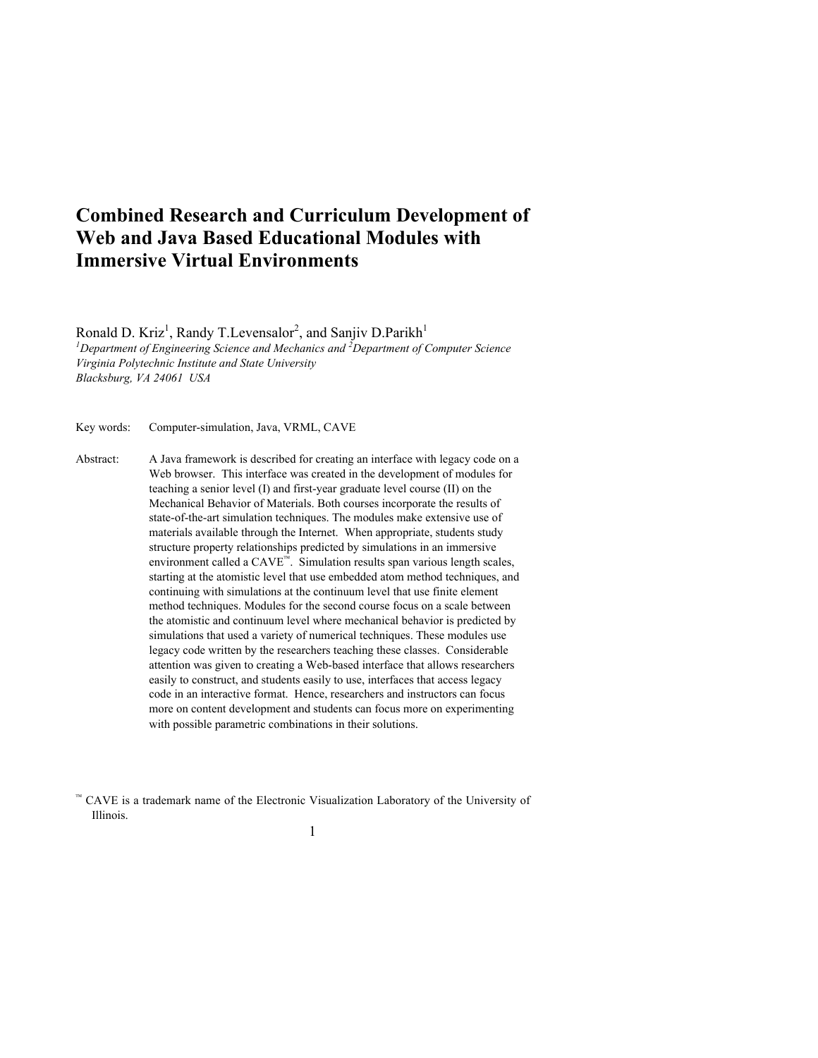# **Combined Research and Curriculum Development of Web and Java Based Educational Modules with Immersive Virtual Environments**

Ronald D. Kriz<sup>1</sup>, Randy T. Levensalor<sup>2</sup>, and Sanjiv D. Parikh<sup>1</sup> *1 Department of Engineering Science and Mechanics and 2 Department of Computer Science Virginia Polytechnic Institute and State University Blacksburg, VA 24061 USA*

Key words: Computer-simulation, Java, VRML, CAVE

Abstract: A Java framework is described for creating an interface with legacy code on a Web browser. This interface was created in the development of modules for teaching a senior level (I) and first-year graduate level course (II) on the Mechanical Behavior of Materials. Both courses incorporate the results of state-of-the-art simulation techniques. The modules make extensive use of materials available through the Internet. When appropriate, students study structure property relationships predicted by simulations in an immersive environment called a CAVE'. Simulation results span various length scales, starting at the atomistic level that use embedded atom method techniques, and continuing with simulations at the continuum level that use finite element method techniques. Modules for the second course focus on a scale between the atomistic and continuum level where mechanical behavior is predicted by simulations that used a variety of numerical techniques. These modules use legacy code written by the researchers teaching these classes. Considerable attention was given to creating a Web-based interface that allows researchers easily to construct, and students easily to use, interfaces that access legacy code in an interactive format. Hence, researchers and instructors can focus more on content development and students can focus more on experimenting with possible parametric combinations in their solutions.

 $\alpha$  CAVE is a trademark name of the Electronic Visualization Laboratory of the University of Illinois.

1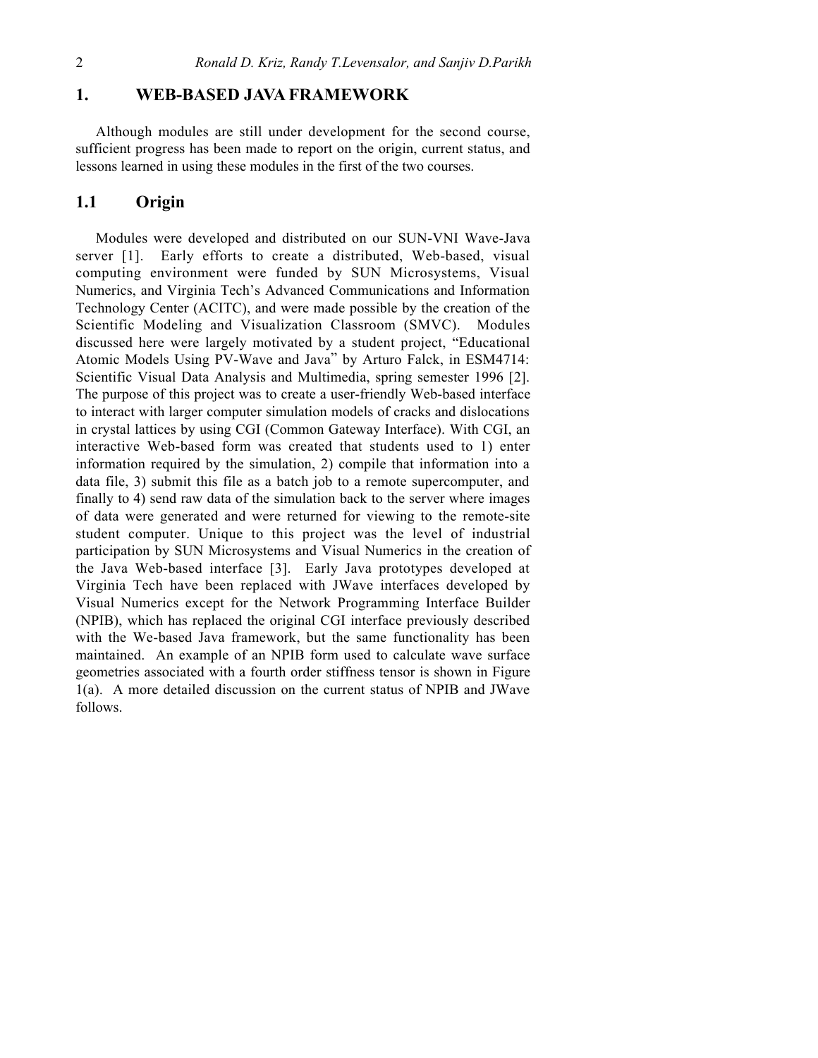## **1. WEB-BASED JAVA FRAMEWORK**

Although modules are still under development for the second course, sufficient progress has been made to report on the origin, current status, and lessons learned in using these modules in the first of the two courses.

## **1.1 Origin**

Modules were developed and distributed on our SUN-VNI Wave-Java server [1]. Early efforts to create a distributed, Web-based, visual computing environment were funded by SUN Microsystems, Visual Numerics, and Virginia Tech's Advanced Communications and Information Technology Center (ACITC), and were made possible by the creation of the Scientific Modeling and Visualization Classroom (SMVC). Modules discussed here were largely motivated by a student project, "Educational Atomic Models Using PV-Wave and Java" by Arturo Falck, in ESM4714: Scientific Visual Data Analysis and Multimedia, spring semester 1996 [2]. The purpose of this project was to create a user-friendly Web-based interface to interact with larger computer simulation models of cracks and dislocations in crystal lattices by using CGI (Common Gateway Interface). With CGI, an interactive Web-based form was created that students used to 1) enter information required by the simulation, 2) compile that information into a data file, 3) submit this file as a batch job to a remote supercomputer, and finally to 4) send raw data of the simulation back to the server where images of data were generated and were returned for viewing to the remote-site student computer. Unique to this project was the level of industrial participation by SUN Microsystems and Visual Numerics in the creation of the Java Web-based interface [3]. Early Java prototypes developed at Virginia Tech have been replaced with JWave interfaces developed by Visual Numerics except for the Network Programming Interface Builder (NPIB), which has replaced the original CGI interface previously described with the We-based Java framework, but the same functionality has been maintained. An example of an NPIB form used to calculate wave surface geometries associated with a fourth order stiffness tensor is shown in Figure 1(a). A more detailed discussion on the current status of NPIB and JWave follows.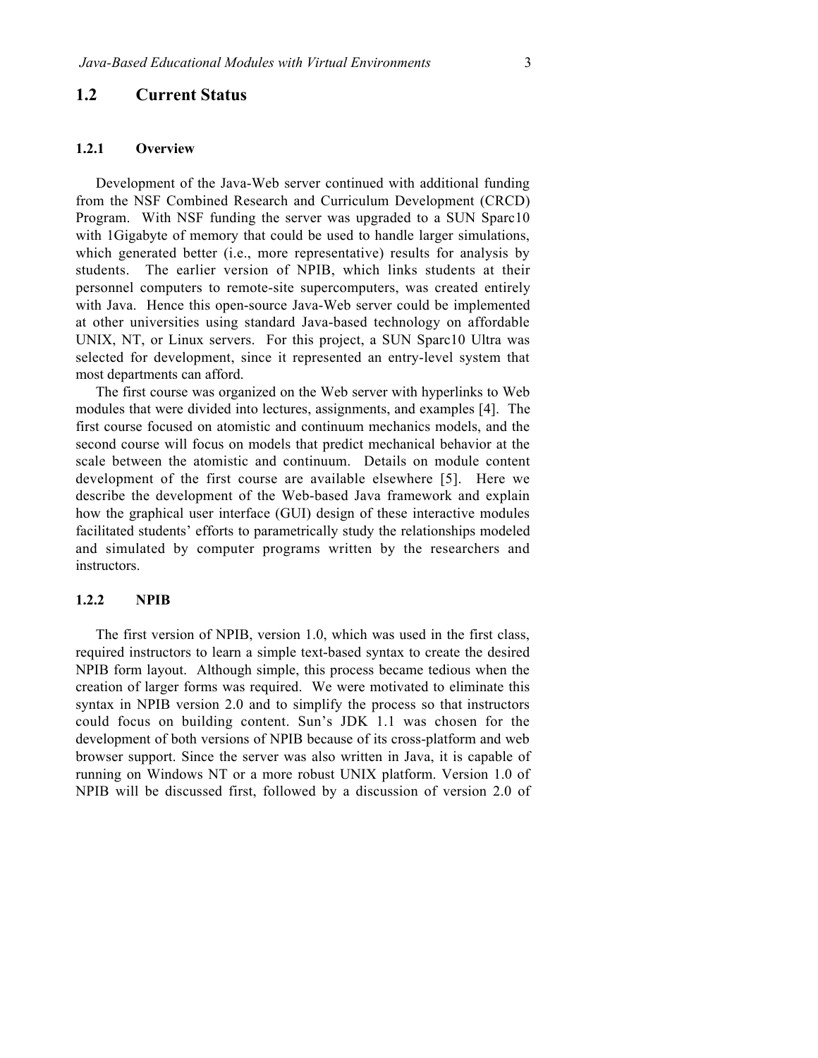## **1.2 Current Status**

#### **1.2.1 Overview**

Development of the Java-Web server continued with additional funding from the NSF Combined Research and Curriculum Development (CRCD) Program. With NSF funding the server was upgraded to a SUN Sparc10 with 1Gigabyte of memory that could be used to handle larger simulations, which generated better *(i.e., more representative)* results for analysis by students. The earlier version of NPIB, which links students at their personnel computers to remote-site supercomputers, was created entirely with Java. Hence this open-source Java-Web server could be implemented at other universities using standard Java-based technology on affordable UNIX, NT, or Linux servers. For this project, a SUN Sparc10 Ultra was selected for development, since it represented an entry-level system that most departments can afford.

The first course was organized on the Web server with hyperlinks to Web modules that were divided into lectures, assignments, and examples [4]. The first course focused on atomistic and continuum mechanics models, and the second course will focus on models that predict mechanical behavior at the scale between the atomistic and continuum. Details on module content development of the first course are available elsewhere [5]. Here we describe the development of the Web-based Java framework and explain how the graphical user interface (GUI) design of these interactive modules facilitated students' efforts to parametrically study the relationships modeled and simulated by computer programs written by the researchers and instructors.

#### **1.2.2 NPIB**

The first version of NPIB, version 1.0, which was used in the first class, required instructors to learn a simple text-based syntax to create the desired NPIB form layout. Although simple, this process became tedious when the creation of larger forms was required. We were motivated to eliminate this syntax in NPIB version 2.0 and to simplify the process so that instructors could focus on building content. Sun's JDK 1.1 was chosen for the development of both versions of NPIB because of its cross-platform and web browser support. Since the server was also written in Java, it is capable of running on Windows NT or a more robust UNIX platform. Version 1.0 of NPIB will be discussed first, followed by a discussion of version 2.0 of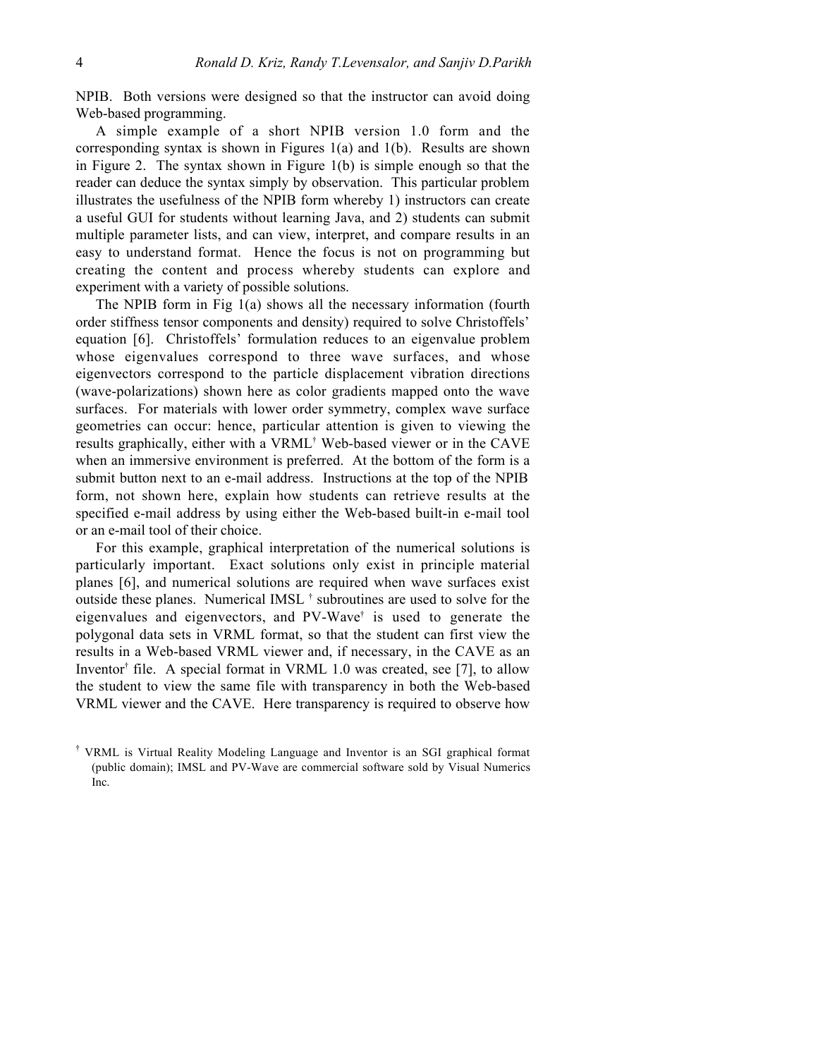NPIB. Both versions were designed so that the instructor can avoid doing Web-based programming.

A simple example of a short NPIB version 1.0 form and the corresponding syntax is shown in Figures 1(a) and 1(b). Results are shown in Figure 2. The syntax shown in Figure 1(b) is simple enough so that the reader can deduce the syntax simply by observation. This particular problem illustrates the usefulness of the NPIB form whereby 1) instructors can create a useful GUI for students without learning Java, and 2) students can submit multiple parameter lists, and can view, interpret, and compare results in an easy to understand format. Hence the focus is not on programming but creating the content and process whereby students can explore and experiment with a variety of possible solutions.

The NPIB form in Fig 1(a) shows all the necessary information (fourth order stiffness tensor components and density) required to solve Christoffels' equation [6]. Christoffels' formulation reduces to an eigenvalue problem whose eigenvalues correspond to three wave surfaces, and whose eigenvectors correspond to the particle displacement vibration directions (wave-polarizations) shown here as color gradients mapped onto the wave surfaces. For materials with lower order symmetry, complex wave surface geometries can occur: hence, particular attention is given to viewing the results graphically, either with a VRML† Web-based viewer or in the CAVE when an immersive environment is preferred. At the bottom of the form is a submit button next to an e-mail address. Instructions at the top of the NPIB form, not shown here, explain how students can retrieve results at the specified e-mail address by using either the Web-based built-in e-mail tool or an e-mail tool of their choice.

For this example, graphical interpretation of the numerical solutions is particularly important. Exact solutions only exist in principle material planes [6], and numerical solutions are required when wave surfaces exist outside these planes. Numerical IMSL  $<sup>†</sup>$  subroutines are used to solve for the</sup> eigenvalues and eigenvectors, and PV-Wave† is used to generate the polygonal data sets in VRML format, so that the student can first view the results in a Web-based VRML viewer and, if necessary, in the CAVE as an Inventor† file. A special format in VRML 1.0 was created, see [7], to allow the student to view the same file with transparency in both the Web-based VRML viewer and the CAVE. Here transparency is required to observe how

<sup>†</sup> VRML is Virtual Reality Modeling Language and Inventor is an SGI graphical format (public domain); IMSL and PV-Wave are commercial software sold by Visual Numerics Inc.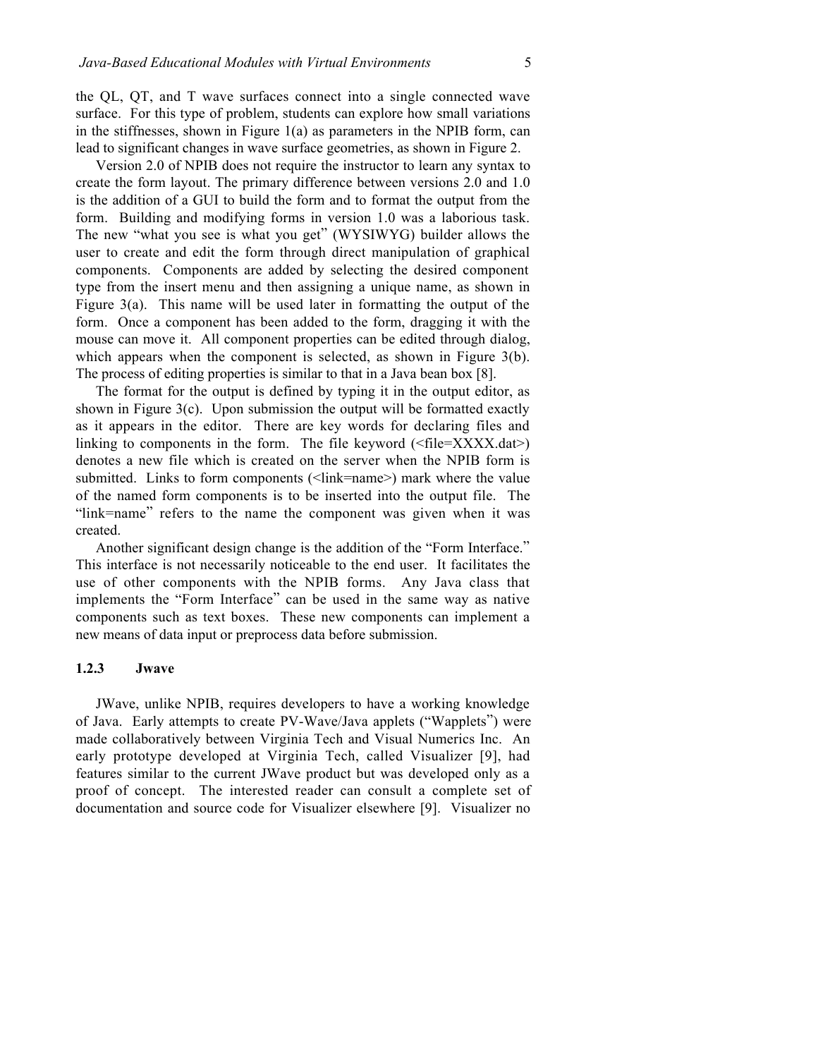the QL, QT, and T wave surfaces connect into a single connected wave surface. For this type of problem, students can explore how small variations in the stiffnesses, shown in Figure  $1(a)$  as parameters in the NPIB form, can lead to significant changes in wave surface geometries, as shown in Figure 2.

Version 2.0 of NPIB does not require the instructor to learn any syntax to create the form layout. The primary difference between versions 2.0 and 1.0 is the addition of a GUI to build the form and to format the output from the form. Building and modifying forms in version 1.0 was a laborious task. The new "what you see is what you get" (WYSIWYG) builder allows the user to create and edit the form through direct manipulation of graphical components. Components are added by selecting the desired component type from the insert menu and then assigning a unique name, as shown in Figure 3(a). This name will be used later in formatting the output of the form. Once a component has been added to the form, dragging it with the mouse can move it. All component properties can be edited through dialog, which appears when the component is selected, as shown in Figure 3(b). The process of editing properties is similar to that in a Java bean box [8].

The format for the output is defined by typing it in the output editor, as shown in Figure  $3(c)$ . Upon submission the output will be formatted exactly as it appears in the editor. There are key words for declaring files and linking to components in the form. The file keyword  $(\leq f \leq XXXX \cdot \text{dat})$ denotes a new file which is created on the server when the NPIB form is submitted. Links to form components (<link=name>) mark where the value of the named form components is to be inserted into the output file. The "link=name" refers to the name the component was given when it was created.

Another significant design change is the addition of the "Form Interface." This interface is not necessarily noticeable to the end user. It facilitates the use of other components with the NPIB forms. Any Java class that implements the "Form Interface" can be used in the same way as native components such as text boxes. These new components can implement a new means of data input or preprocess data before submission.

#### **1.2.3 Jwave**

JWave, unlike NPIB, requires developers to have a working knowledge of Java. Early attempts to create PV-Wave/Java applets ("Wapplets") were made collaboratively between Virginia Tech and Visual Numerics Inc. An early prototype developed at Virginia Tech, called Visualizer [9], had features similar to the current JWave product but was developed only as a proof of concept. The interested reader can consult a complete set of documentation and source code for Visualizer elsewhere [9]. Visualizer no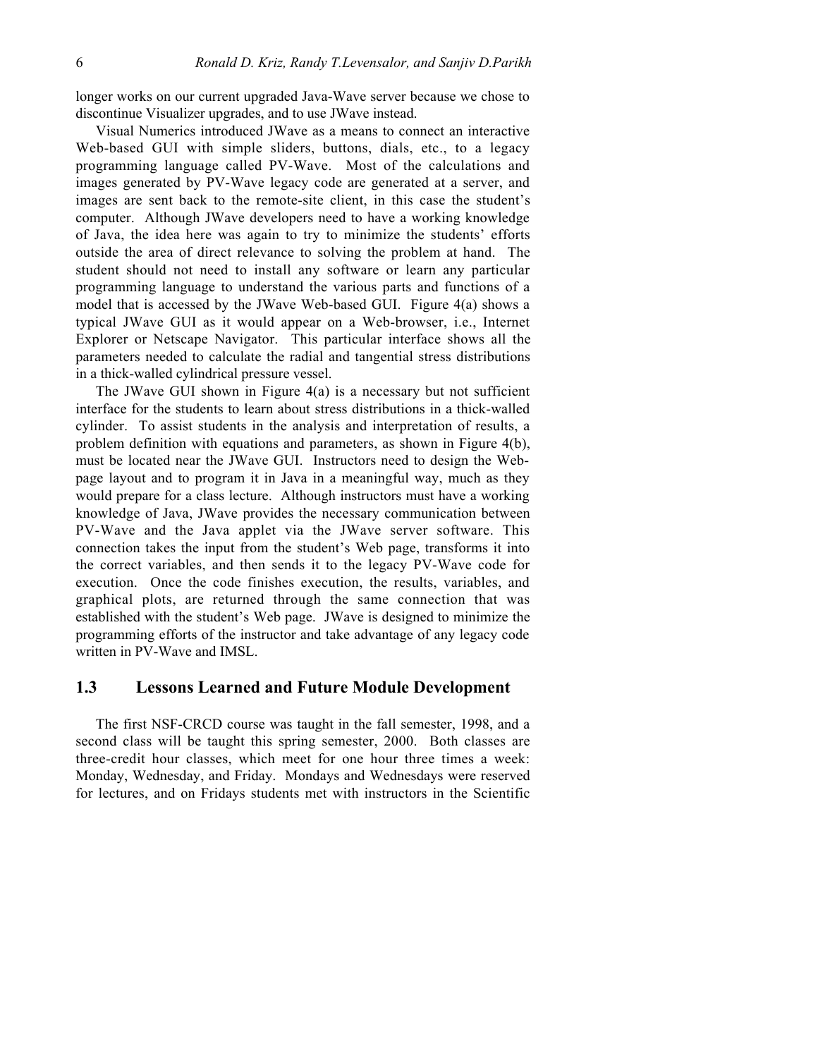longer works on our current upgraded Java-Wave server because we chose to discontinue Visualizer upgrades, and to use JWave instead.

Visual Numerics introduced JWave as a means to connect an interactive Web-based GUI with simple sliders, buttons, dials, etc., to a legacy programming language called PV-Wave. Most of the calculations and images generated by PV-Wave legacy code are generated at a server, and images are sent back to the remote-site client, in this case the student's computer. Although JWave developers need to have a working knowledge of Java, the idea here was again to try to minimize the students' efforts outside the area of direct relevance to solving the problem at hand. The student should not need to install any software or learn any particular programming language to understand the various parts and functions of a model that is accessed by the JWave Web-based GUI. Figure 4(a) shows a typical JWave GUI as it would appear on a Web-browser, i.e., Internet Explorer or Netscape Navigator. This particular interface shows all the parameters needed to calculate the radial and tangential stress distributions in a thick-walled cylindrical pressure vessel.

The JWave GUI shown in Figure 4(a) is a necessary but not sufficient interface for the students to learn about stress distributions in a thick-walled cylinder. To assist students in the analysis and interpretation of results, a problem definition with equations and parameters, as shown in Figure 4(b), must be located near the JWave GUI. Instructors need to design the Webpage layout and to program it in Java in a meaningful way, much as they would prepare for a class lecture. Although instructors must have a working knowledge of Java, JWave provides the necessary communication between PV-Wave and the Java applet via the JWave server software. This connection takes the input from the student's Web page, transforms it into the correct variables, and then sends it to the legacy PV-Wave code for execution. Once the code finishes execution, the results, variables, and graphical plots, are returned through the same connection that was established with the student's Web page. JWave is designed to minimize the programming efforts of the instructor and take advantage of any legacy code written in PV-Wave and IMSL.

### **1.3 Lessons Learned and Future Module Development**

The first NSF-CRCD course was taught in the fall semester, 1998, and a second class will be taught this spring semester, 2000. Both classes are three-credit hour classes, which meet for one hour three times a week: Monday, Wednesday, and Friday. Mondays and Wednesdays were reserved for lectures, and on Fridays students met with instructors in the Scientific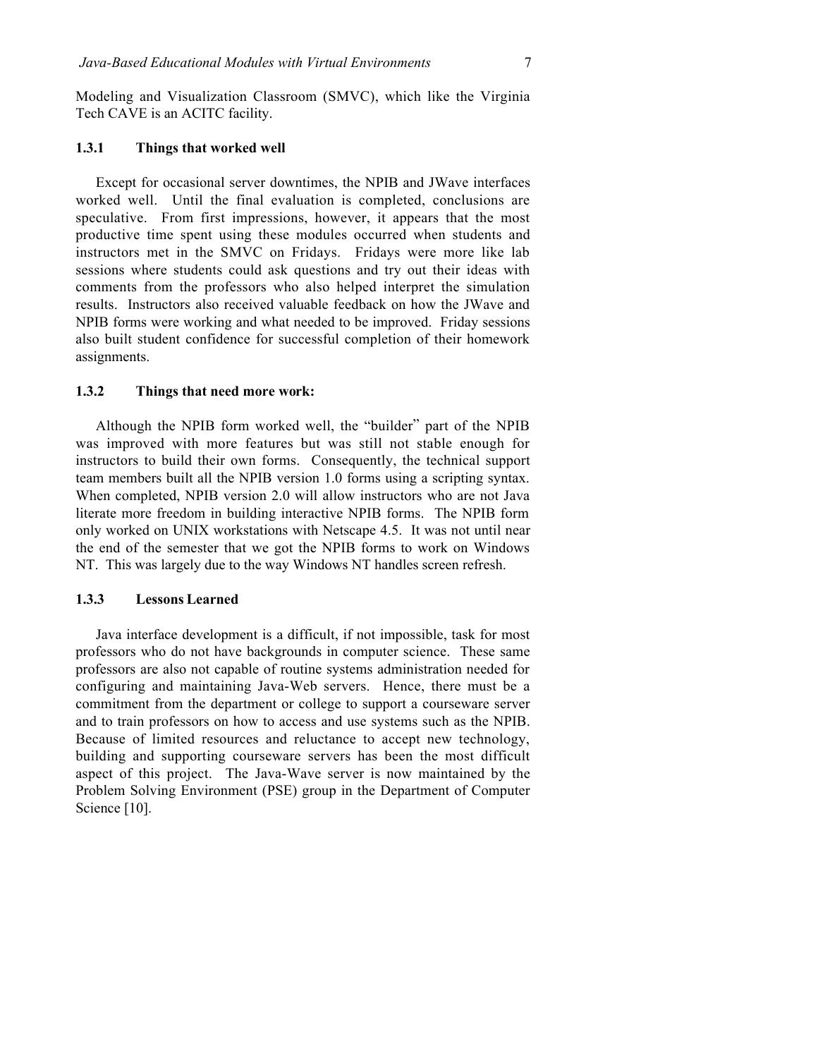Modeling and Visualization Classroom (SMVC), which like the Virginia Tech CAVE is an ACITC facility.

#### **1.3.1 Things that worked well**

Except for occasional server downtimes, the NPIB and JWave interfaces worked well. Until the final evaluation is completed, conclusions are speculative. From first impressions, however, it appears that the most productive time spent using these modules occurred when students and instructors met in the SMVC on Fridays. Fridays were more like lab sessions where students could ask questions and try out their ideas with comments from the professors who also helped interpret the simulation results. Instructors also received valuable feedback on how the JWave and NPIB forms were working and what needed to be improved. Friday sessions also built student confidence for successful completion of their homework assignments.

#### **1.3.2 Things that need more work:**

Although the NPIB form worked well, the "builder" part of the NPIB was improved with more features but was still not stable enough for instructors to build their own forms. Consequently, the technical support team members built all the NPIB version 1.0 forms using a scripting syntax. When completed, NPIB version 2.0 will allow instructors who are not Java literate more freedom in building interactive NPIB forms. The NPIB form only worked on UNIX workstations with Netscape 4.5. It was not until near the end of the semester that we got the NPIB forms to work on Windows NT. This was largely due to the way Windows NT handles screen refresh.

#### **1.3.3 Lessons Learned**

Java interface development is a difficult, if not impossible, task for most professors who do not have backgrounds in computer science. These same professors are also not capable of routine systems administration needed for configuring and maintaining Java-Web servers. Hence, there must be a commitment from the department or college to support a courseware server and to train professors on how to access and use systems such as the NPIB. Because of limited resources and reluctance to accept new technology, building and supporting courseware servers has been the most difficult aspect of this project. The Java-Wave server is now maintained by the Problem Solving Environment (PSE) group in the Department of Computer Science [10].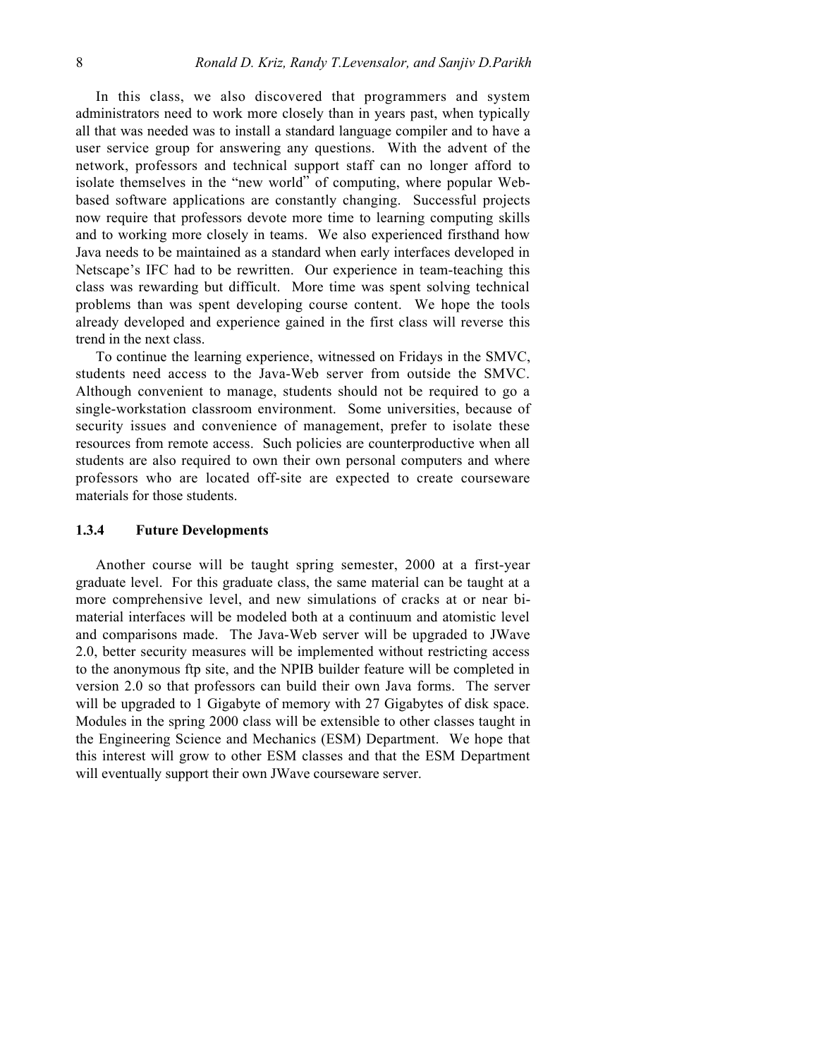In this class, we also discovered that programmers and system administrators need to work more closely than in years past, when typically all that was needed was to install a standard language compiler and to have a user service group for answering any questions. With the advent of the network, professors and technical support staff can no longer afford to isolate themselves in the "new world" of computing, where popular Webbased software applications are constantly changing. Successful projects now require that professors devote more time to learning computing skills and to working more closely in teams. We also experienced firsthand how Java needs to be maintained as a standard when early interfaces developed in Netscape's IFC had to be rewritten. Our experience in team-teaching this class was rewarding but difficult. More time was spent solving technical problems than was spent developing course content. We hope the tools already developed and experience gained in the first class will reverse this trend in the next class.

To continue the learning experience, witnessed on Fridays in the SMVC, students need access to the Java-Web server from outside the SMVC. Although convenient to manage, students should not be required to go a single-workstation classroom environment. Some universities, because of security issues and convenience of management, prefer to isolate these resources from remote access. Such policies are counterproductive when all students are also required to own their own personal computers and where professors who are located off-site are expected to create courseware materials for those students.

#### **1.3.4 Future Developments**

Another course will be taught spring semester, 2000 at a first-year graduate level. For this graduate class, the same material can be taught at a more comprehensive level, and new simulations of cracks at or near bimaterial interfaces will be modeled both at a continuum and atomistic level and comparisons made. The Java-Web server will be upgraded to JWave 2.0, better security measures will be implemented without restricting access to the anonymous ftp site, and the NPIB builder feature will be completed in version 2.0 so that professors can build their own Java forms. The server will be upgraded to 1 Gigabyte of memory with 27 Gigabytes of disk space. Modules in the spring 2000 class will be extensible to other classes taught in the Engineering Science and Mechanics (ESM) Department. We hope that this interest will grow to other ESM classes and that the ESM Department will eventually support their own JWave courseware server.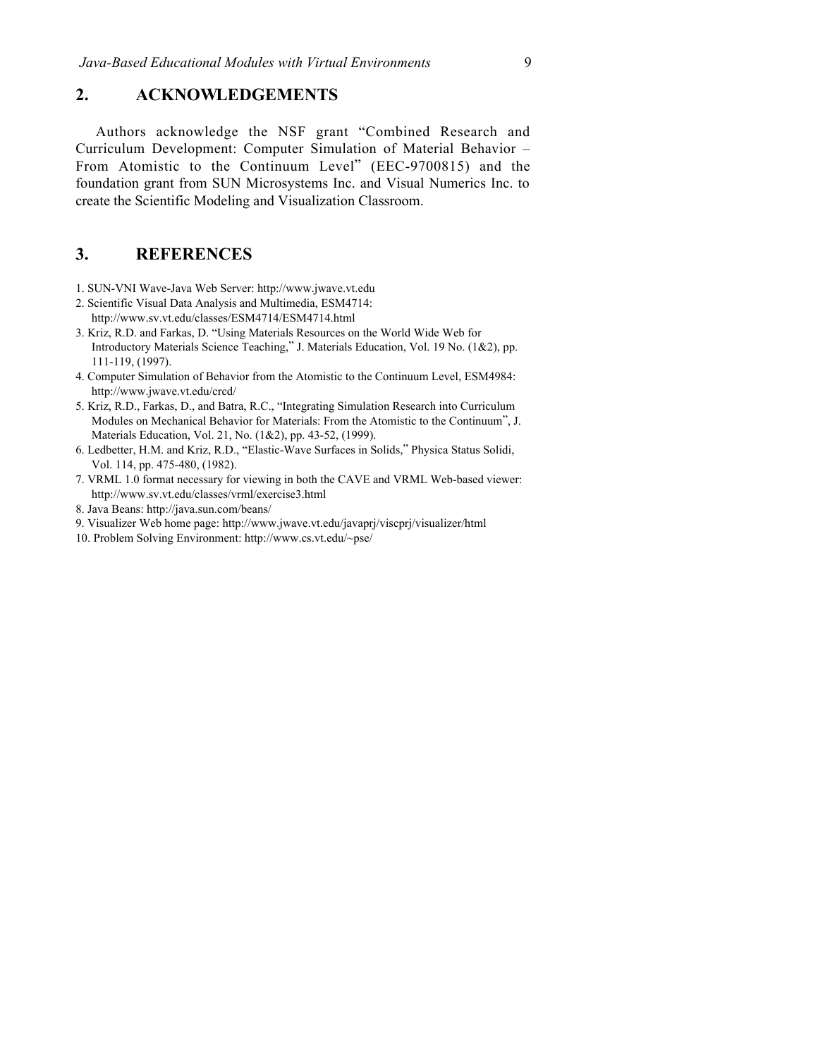## **2. ACKNOWLEDGEMENTS**

Authors acknowledge the NSF grant "Combined Research and Curriculum Development: Computer Simulation of Material Behavior – From Atomistic to the Continuum Level" (EEC-9700815) and the foundation grant from SUN Microsystems Inc. and Visual Numerics Inc. to create the Scientific Modeling and Visualization Classroom.

## **3. REFERENCES**

- 1. SUN-VNI Wave-Java Web Server: http://www.jwave.vt.edu
- 2. Scientific Visual Data Analysis and Multimedia, ESM4714: http://www.sv.vt.edu/classes/ESM4714/ESM4714.html
- 3. Kriz, R.D. and Farkas, D. "Using Materials Resources on the World Wide Web for Introductory Materials Science Teaching," J. Materials Education, Vol. 19 No. (1&2), pp. 111-119, (1997).
- 4. Computer Simulation of Behavior from the Atomistic to the Continuum Level, ESM4984: http://www.jwave.vt.edu/crcd/
- 5. Kriz, R.D., Farkas, D., and Batra, R.C., "Integrating Simulation Research into Curriculum Modules on Mechanical Behavior for Materials: From the Atomistic to the Continuum", J. Materials Education, Vol. 21, No. (1&2), pp. 43-52, (1999).
- 6. Ledbetter, H.M. and Kriz, R.D., "Elastic-Wave Surfaces in Solids," Physica Status Solidi, Vol. 114, pp. 475-480, (1982).
- 7. VRML 1.0 format necessary for viewing in both the CAVE and VRML Web-based viewer: http://www.sv.vt.edu/classes/vrml/exercise3.html
- 8. Java Beans: http://java.sun.com/beans/
- 9. Visualizer Web home page: http://www.jwave.vt.edu/javaprj/viscprj/visualizer/html
- 10. Problem Solving Environment: http://www.cs.vt.edu/~pse/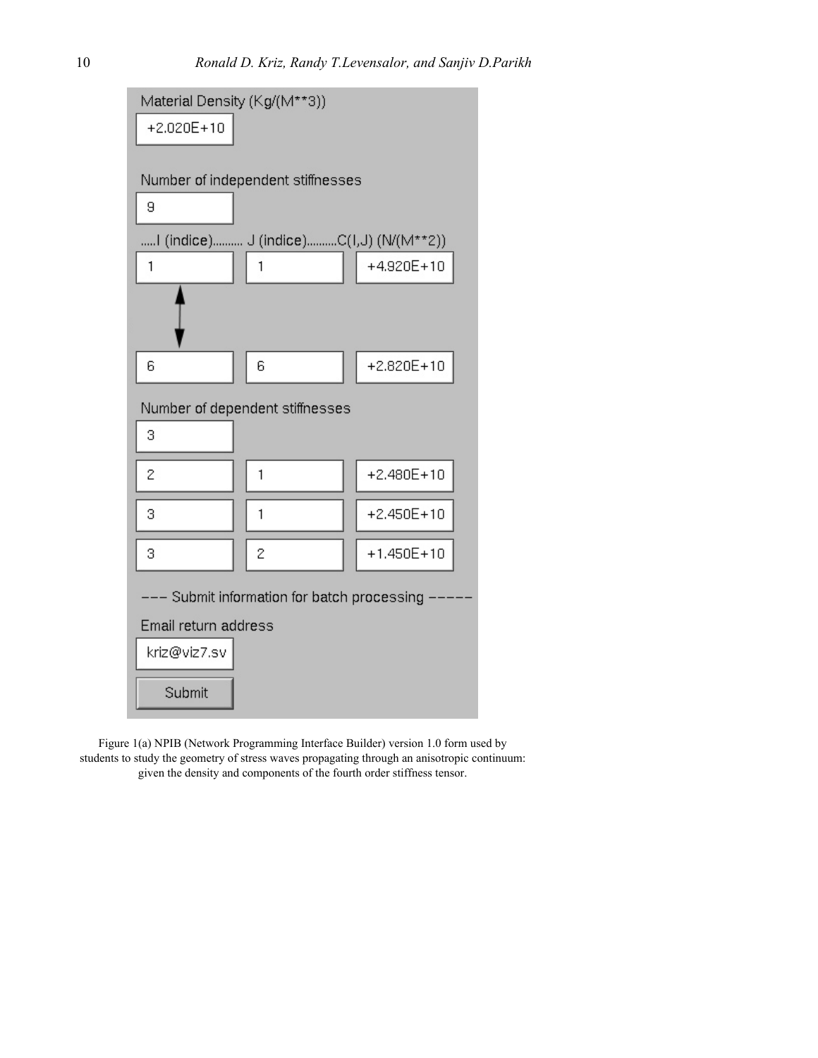

Figure 1(a) NPIB (Network Programming Interface Builder) version 1.0 form used by students to study the geometry of stress waves propagating through an anisotropic continuum: given the density and components of the fourth order stiffness tensor.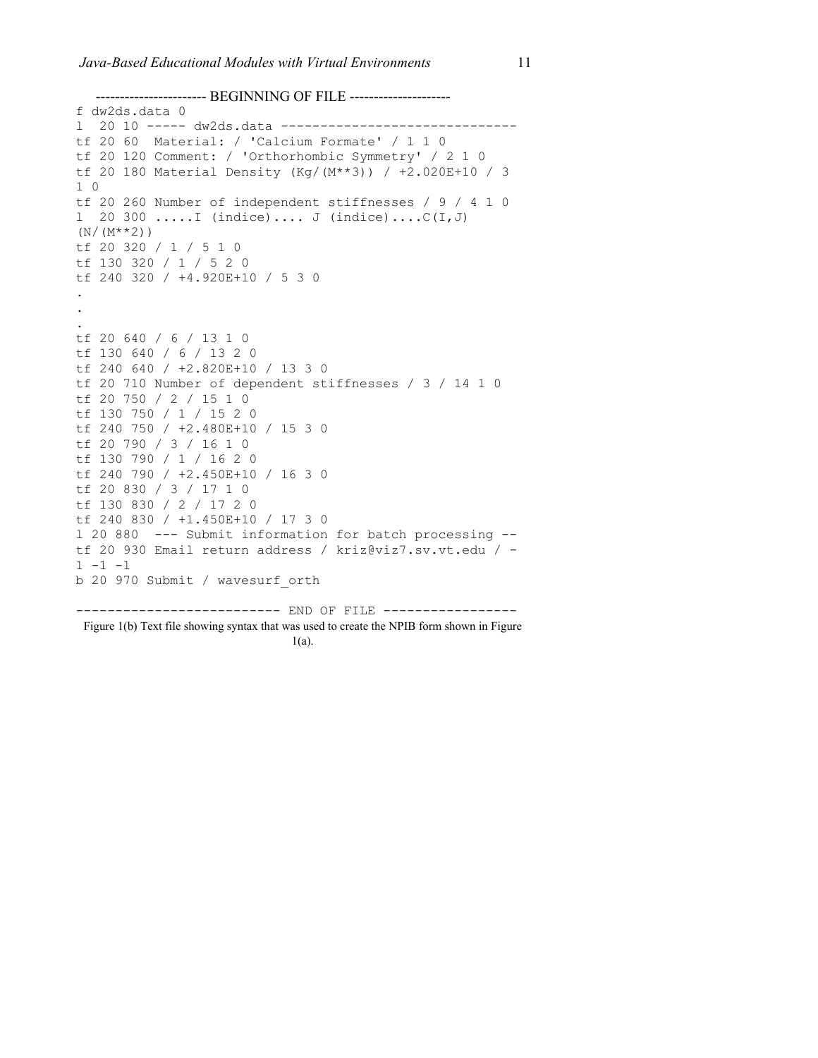```
----------------------- BEGINNING OF FILE ---------------------
f dw2ds.data 0
l 20 10 ----- dw2ds.data ------------------------------
tf 20 60 Material: / 'Calcium Formate' / 1 1 0
tf 20 120 Comment: / 'Orthorhombic Symmetry' / 2 1 0
tf 20 180 Material Density (Kg/(M**3)) / +2.020E+10 / 3
1 0
tf 20 260 Number of independent stiffnesses / 9 / 4 1 0
l 20 300 .....I (indice).... J (indice)....C(I,J)
(N/(M^{**2}))tf 20 320 / 1 / 5 1 0
tf 130 320 / 1 / 5 2 0
tf 240 320 / +4.920E+10 / 5 3 0
.
.
.
tf 20 640 / 6 / 13 1 0
tf 130 640 / 6 / 13 2 0
tf 240 640 / +2.820E+10 / 13 3 0
tf 20 710 Number of dependent stiffnesses / 3 / 14 1 0
tf 20 750 / 2 / 15 1 0
tf 130 750 / 1 / 15 2 0
tf 240 750 / +2.480E+10 / 15 3 0
tf 20 790 / 3 / 16 1 0
tf 130 790 / 1 / 16 2 0
tf 240 790 / +2.450E+10 / 16 3 0
tf 20 830 / 3 / 17 1 0
tf 130 830 / 2 / 17 2 0
tf 240 830 / +1.450E+10 / 17 3 0
l 20 880 --- Submit information for batch processing --
tf 20 930 Email return address / kriz@viz7.sv.vt.edu / -
1 -1 -1b 20 970 Submit / wavesurf_orth
-------------------------- END OF FILE -----------------
 Figure 1(b) Text file showing syntax that was used to create the NPIB form shown in Figure
```
#### 1(a).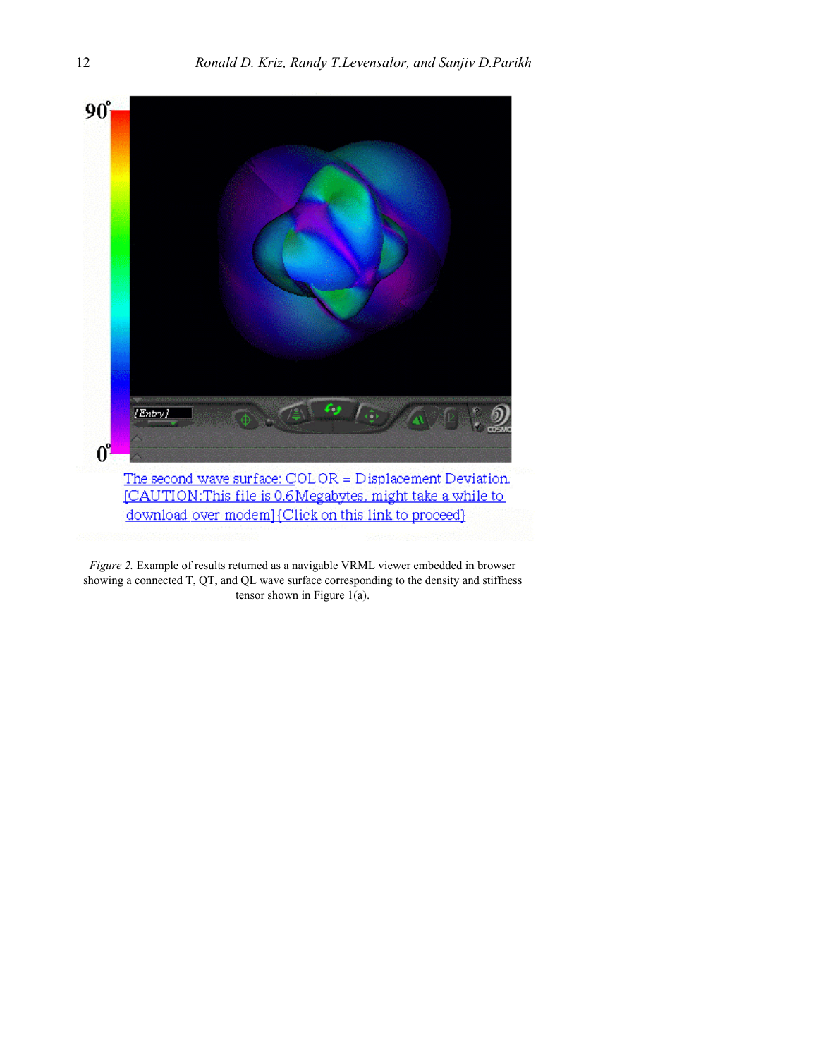

*Figure 2.* Example of results returned as a navigable VRML viewer embedded in browser showing a connected T, QT, and QL wave surface corresponding to the density and stiffness tensor shown in Figure 1(a).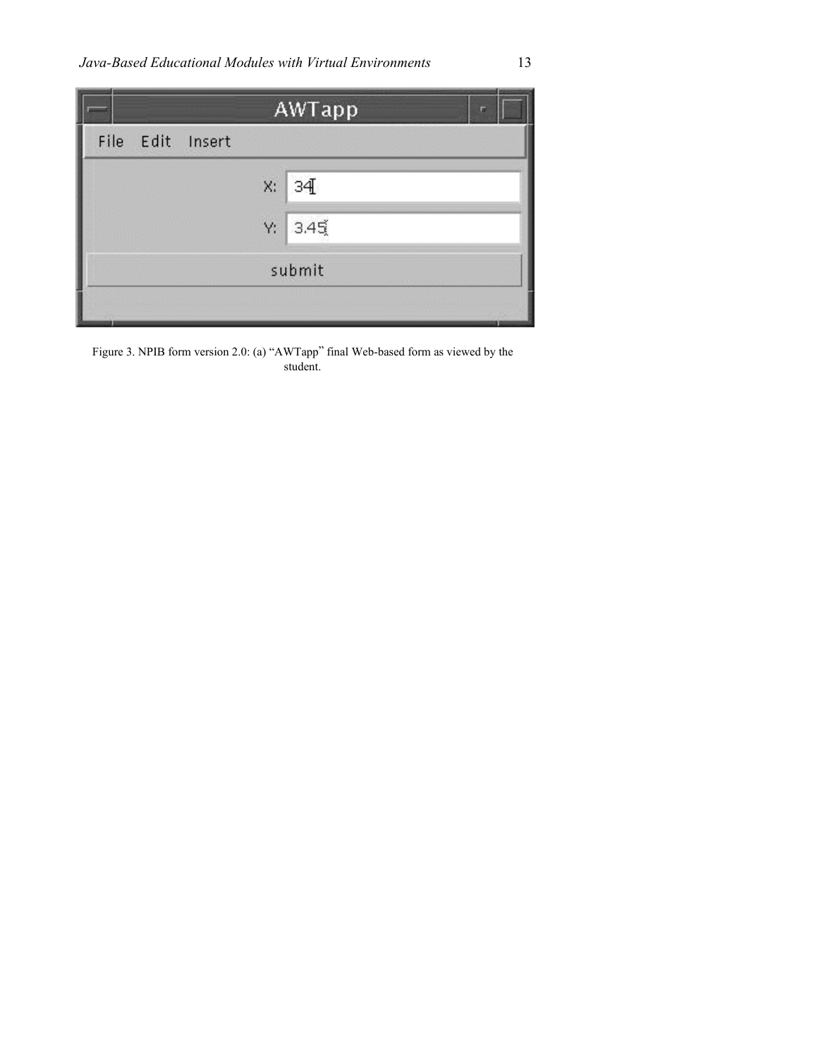|                        | AWTapp<br>E                            |
|------------------------|----------------------------------------|
| File<br>Edit<br>Insert |                                        |
|                        | 34<br>X:                               |
|                        | 3.45<br>Y.                             |
|                        | submit<br><b>SALES AND ARRANGEMENT</b> |
|                        |                                        |

Figure 3. NPIB form version 2.0: (a) "AWTapp" final Web-based form as viewed by the student.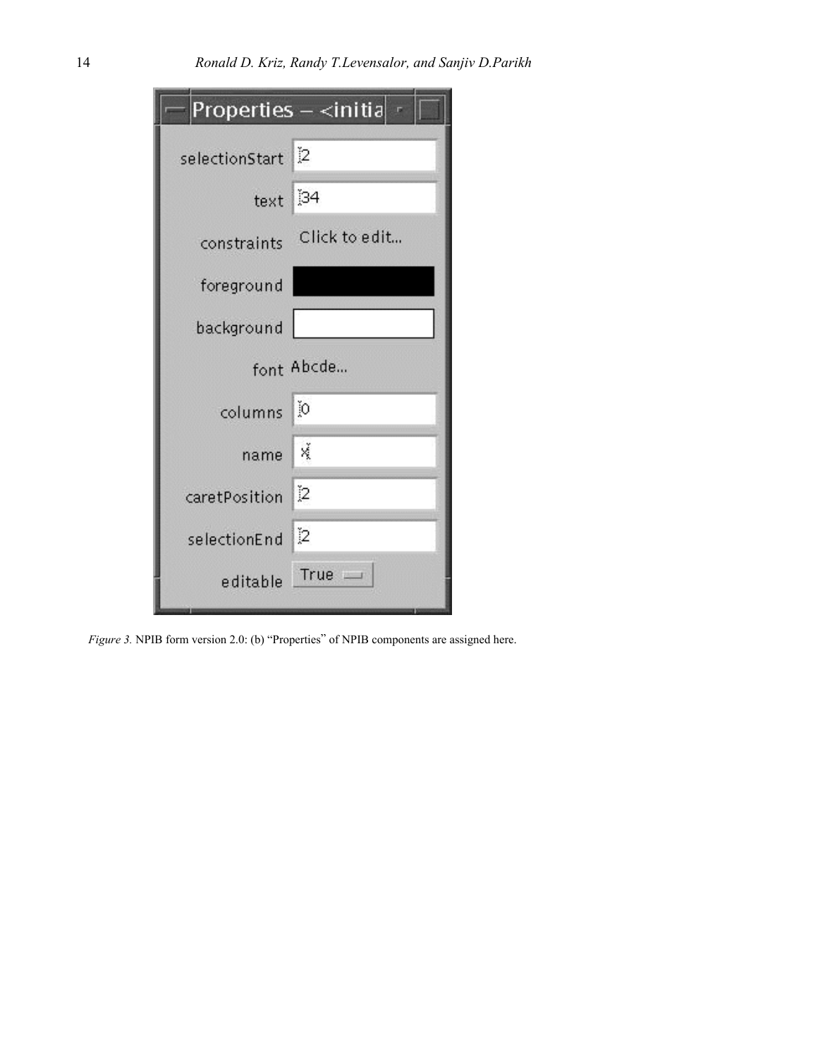| Properties – <initia< th=""><th></th></initia<> |                          |  |  |
|-------------------------------------------------|--------------------------|--|--|
| selectionStart <sup>2</sup>                     |                          |  |  |
| text <sup>34</sup>                              |                          |  |  |
| constraints                                     | Click to edit            |  |  |
| foreground                                      |                          |  |  |
| background                                      |                          |  |  |
| font Abcde                                      |                          |  |  |
| columns                                         | ĬО                       |  |  |
| name                                            | ×                        |  |  |
| caretPosition                                   | $\overline{2}$           |  |  |
| selectionEnd                                    | Ĭ2                       |  |  |
| editable                                        | $True$ $\longrightarrow$ |  |  |

*Figure 3.* NPIB form version 2.0: (b) "Properties" of NPIB components are assigned here.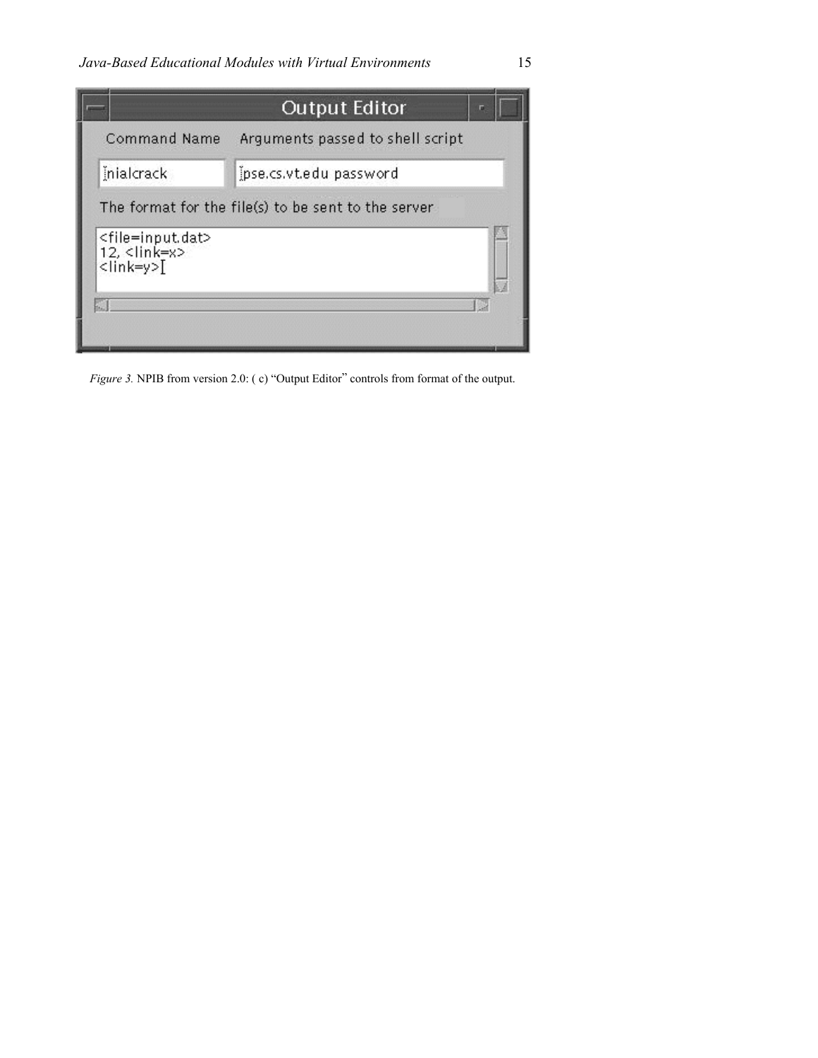|                                                                                                        | <b>Output Editor</b>                                | п |  |
|--------------------------------------------------------------------------------------------------------|-----------------------------------------------------|---|--|
| <b>Command Name</b>                                                                                    | Arguments passed to shell script                    |   |  |
| inialcrack                                                                                             | pse.cs.vt.edu password                              |   |  |
| <file=input.dat><br/><math>12,</math> <link=x><br/><link=y>[<br/>M.</link=y></link=x></file=input.dat> | The format for the file(s) to be sent to the server |   |  |

*Figure 3.* NPIB from version 2.0: (c) "Output Editor" controls from format of the output.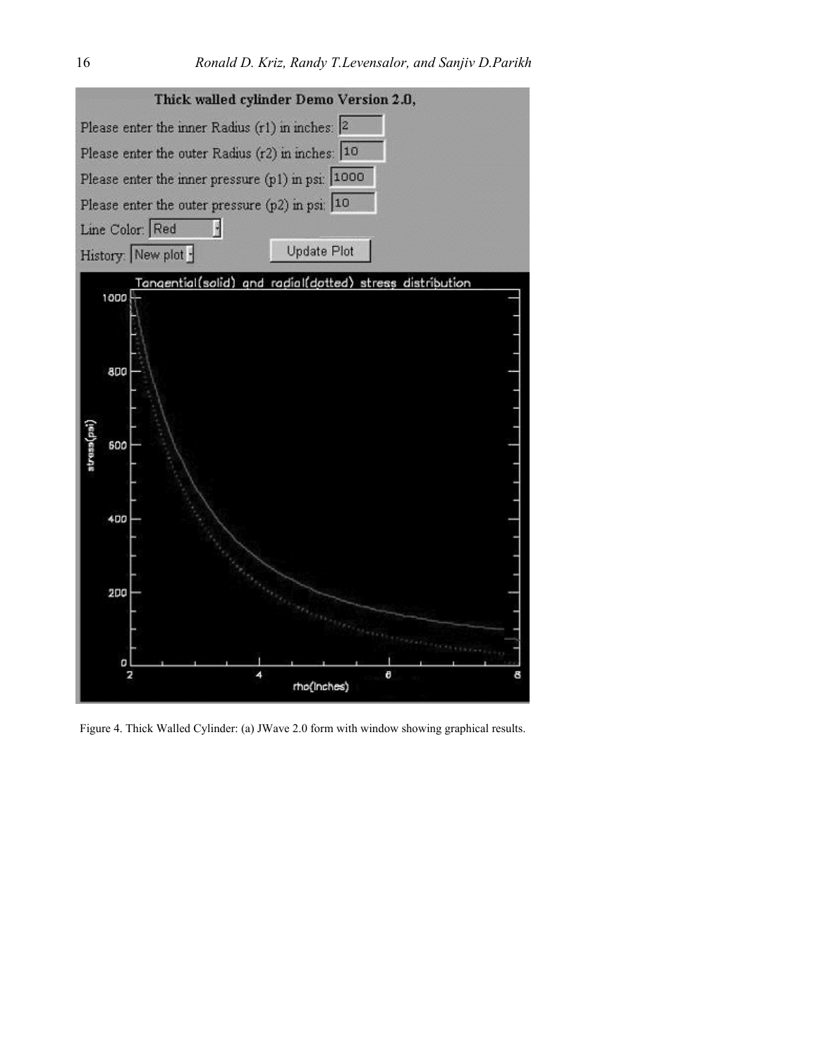

Figure 4. Thick Walled Cylinder: (a) JWave 2.0 form with window showing graphical results.